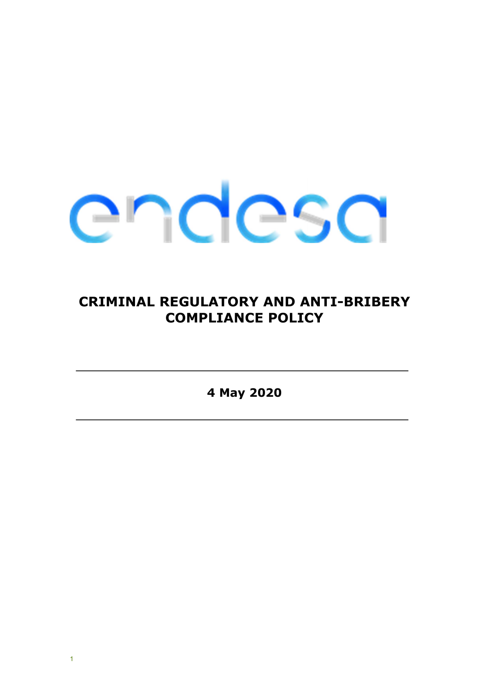

# CRIMINAL REGULATORY AND ANTI-BRIBERY COMPLIANCE POLICY

4 May 2020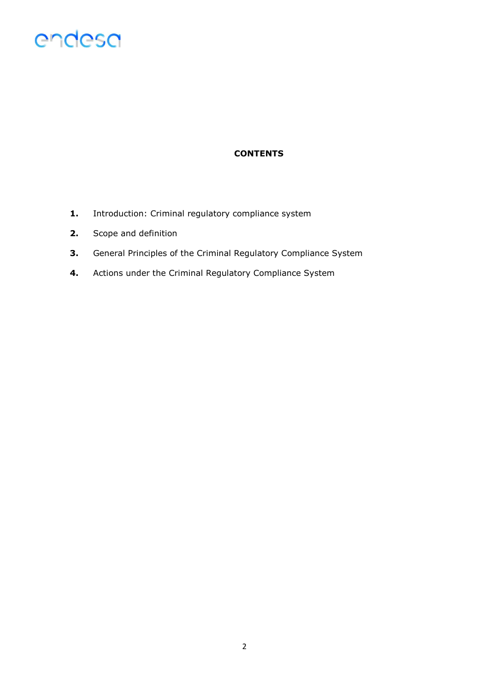

## **CONTENTS**

- 1. Introduction: Criminal regulatory compliance system
- 2. Scope and definition
- 3. General Principles of the Criminal Regulatory Compliance System
- 4. Actions under the Criminal Regulatory Compliance System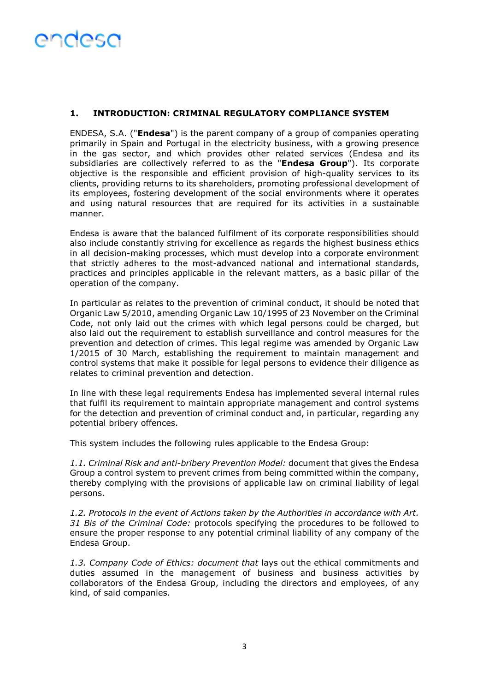## 1. INTRODUCTION: CRIMINAL REGULATORY COMPLIANCE SYSTEM

ENDESA, S.A. ("Endesa") is the parent company of a group of companies operating primarily in Spain and Portugal in the electricity business, with a growing presence in the gas sector, and which provides other related services (Endesa and its subsidiaries are collectively referred to as the "Endesa Group"). Its corporate objective is the responsible and efficient provision of high-quality services to its clients, providing returns to its shareholders, promoting professional development of its employees, fostering development of the social environments where it operates and using natural resources that are required for its activities in a sustainable manner.

Endesa is aware that the balanced fulfilment of its corporate responsibilities should also include constantly striving for excellence as regards the highest business ethics in all decision-making processes, which must develop into a corporate environment that strictly adheres to the most-advanced national and international standards, practices and principles applicable in the relevant matters, as a basic pillar of the operation of the company.

In particular as relates to the prevention of criminal conduct, it should be noted that Organic Law 5/2010, amending Organic Law 10/1995 of 23 November on the Criminal Code, not only laid out the crimes with which legal persons could be charged, but also laid out the requirement to establish surveillance and control measures for the prevention and detection of crimes. This legal regime was amended by Organic Law 1/2015 of 30 March, establishing the requirement to maintain management and control systems that make it possible for legal persons to evidence their diligence as relates to criminal prevention and detection.

In line with these legal requirements Endesa has implemented several internal rules that fulfil its requirement to maintain appropriate management and control systems for the detection and prevention of criminal conduct and, in particular, regarding any potential bribery offences.

This system includes the following rules applicable to the Endesa Group:

1.1. Criminal Risk and anti-bribery Prevention Model: document that gives the Endesa Group a control system to prevent crimes from being committed within the company, thereby complying with the provisions of applicable law on criminal liability of legal persons.

1.2. Protocols in the event of Actions taken by the Authorities in accordance with Art. 31 Bis of the Criminal Code: protocols specifying the procedures to be followed to ensure the proper response to any potential criminal liability of any company of the Endesa Group.

1.3. Company Code of Ethics: document that lays out the ethical commitments and duties assumed in the management of business and business activities by collaborators of the Endesa Group, including the directors and employees, of any kind, of said companies.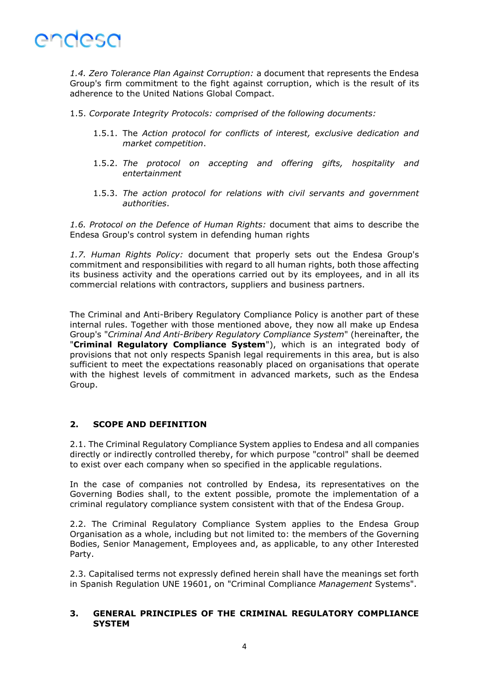

1.4. Zero Tolerance Plan Against Corruption: a document that represents the Endesa Group's firm commitment to the fight against corruption, which is the result of its adherence to the United Nations Global Compact.

1.5. Corporate Integrity Protocols: comprised of the following documents:

- 1.5.1. The Action protocol for conflicts of interest, exclusive dedication and market competition.
- 1.5.2. The protocol on accepting and offering gifts, hospitality and entertainment
- 1.5.3. The action protocol for relations with civil servants and government authorities.

1.6. Protocol on the Defence of Human Rights: document that aims to describe the Endesa Group's control system in defending human rights

1.7. Human Rights Policy: document that properly sets out the Endesa Group's commitment and responsibilities with regard to all human rights, both those affecting its business activity and the operations carried out by its employees, and in all its commercial relations with contractors, suppliers and business partners.

The Criminal and Anti-Bribery Regulatory Compliance Policy is another part of these internal rules. Together with those mentioned above, they now all make up Endesa Group's "Criminal And Anti-Bribery Regulatory Compliance System" (hereinafter, the "Criminal Regulatory Compliance System"), which is an integrated body of provisions that not only respects Spanish legal requirements in this area, but is also sufficient to meet the expectations reasonably placed on organisations that operate with the highest levels of commitment in advanced markets, such as the Endesa Group.

#### 2. SCOPE AND DEFINITION

2.1. The Criminal Regulatory Compliance System applies to Endesa and all companies directly or indirectly controlled thereby, for which purpose "control" shall be deemed to exist over each company when so specified in the applicable regulations.

In the case of companies not controlled by Endesa, its representatives on the Governing Bodies shall, to the extent possible, promote the implementation of a criminal regulatory compliance system consistent with that of the Endesa Group.

2.2. The Criminal Regulatory Compliance System applies to the Endesa Group Organisation as a whole, including but not limited to: the members of the Governing Bodies, Senior Management, Employees and, as applicable, to any other Interested Party.

2.3. Capitalised terms not expressly defined herein shall have the meanings set forth in Spanish Regulation UNE 19601, on "Criminal Compliance Management Systems".

#### 3. GENERAL PRINCIPLES OF THE CRIMINAL REGULATORY COMPLIANCE **SYSTEM**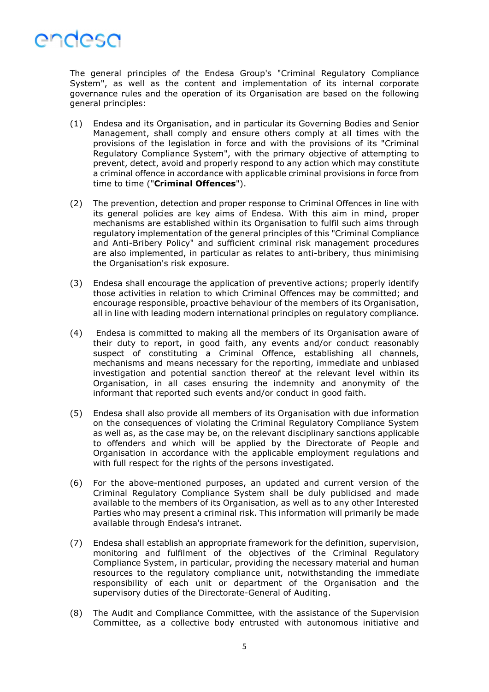

The general principles of the Endesa Group's "Criminal Regulatory Compliance System", as well as the content and implementation of its internal corporate governance rules and the operation of its Organisation are based on the following general principles:

- (1) Endesa and its Organisation, and in particular its Governing Bodies and Senior Management, shall comply and ensure others comply at all times with the provisions of the legislation in force and with the provisions of its "Criminal Regulatory Compliance System", with the primary objective of attempting to prevent, detect, avoid and properly respond to any action which may constitute a criminal offence in accordance with applicable criminal provisions in force from time to time ("Criminal Offences").
- (2) The prevention, detection and proper response to Criminal Offences in line with its general policies are key aims of Endesa. With this aim in mind, proper mechanisms are established within its Organisation to fulfil such aims through regulatory implementation of the general principles of this "Criminal Compliance and Anti-Bribery Policy" and sufficient criminal risk management procedures are also implemented, in particular as relates to anti-bribery, thus minimising the Organisation's risk exposure.
- (3) Endesa shall encourage the application of preventive actions; properly identify those activities in relation to which Criminal Offences may be committed; and encourage responsible, proactive behaviour of the members of its Organisation, all in line with leading modern international principles on regulatory compliance.
- (4) Endesa is committed to making all the members of its Organisation aware of their duty to report, in good faith, any events and/or conduct reasonably suspect of constituting a Criminal Offence, establishing all channels, mechanisms and means necessary for the reporting, immediate and unbiased investigation and potential sanction thereof at the relevant level within its Organisation, in all cases ensuring the indemnity and anonymity of the informant that reported such events and/or conduct in good faith.
- (5) Endesa shall also provide all members of its Organisation with due information on the consequences of violating the Criminal Regulatory Compliance System as well as, as the case may be, on the relevant disciplinary sanctions applicable to offenders and which will be applied by the Directorate of People and Organisation in accordance with the applicable employment regulations and with full respect for the rights of the persons investigated.
- (6) For the above-mentioned purposes, an updated and current version of the Criminal Regulatory Compliance System shall be duly publicised and made available to the members of its Organisation, as well as to any other Interested Parties who may present a criminal risk. This information will primarily be made available through Endesa's intranet.
- (7) Endesa shall establish an appropriate framework for the definition, supervision, monitoring and fulfilment of the objectives of the Criminal Regulatory Compliance System, in particular, providing the necessary material and human resources to the regulatory compliance unit, notwithstanding the immediate responsibility of each unit or department of the Organisation and the supervisory duties of the Directorate-General of Auditing.
- (8) The Audit and Compliance Committee, with the assistance of the Supervision Committee, as a collective body entrusted with autonomous initiative and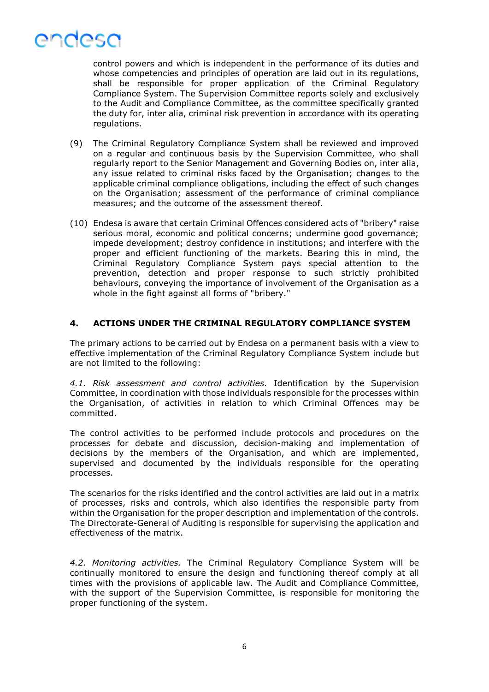

control powers and which is independent in the performance of its duties and whose competencies and principles of operation are laid out in its regulations, shall be responsible for proper application of the Criminal Regulatory Compliance System. The Supervision Committee reports solely and exclusively to the Audit and Compliance Committee, as the committee specifically granted the duty for, inter alia, criminal risk prevention in accordance with its operating regulations.

- (9) The Criminal Regulatory Compliance System shall be reviewed and improved on a regular and continuous basis by the Supervision Committee, who shall regularly report to the Senior Management and Governing Bodies on, inter alia, any issue related to criminal risks faced by the Organisation; changes to the applicable criminal compliance obligations, including the effect of such changes on the Organisation; assessment of the performance of criminal compliance measures; and the outcome of the assessment thereof.
- (10) Endesa is aware that certain Criminal Offences considered acts of "bribery" raise serious moral, economic and political concerns; undermine good governance; impede development; destroy confidence in institutions; and interfere with the proper and efficient functioning of the markets. Bearing this in mind, the Criminal Regulatory Compliance System pays special attention to the prevention, detection and proper response to such strictly prohibited behaviours, conveying the importance of involvement of the Organisation as a whole in the fight against all forms of "bribery."

### 4. ACTIONS UNDER THE CRIMINAL REGULATORY COMPLIANCE SYSTEM

The primary actions to be carried out by Endesa on a permanent basis with a view to effective implementation of the Criminal Regulatory Compliance System include but are not limited to the following:

4.1. Risk assessment and control activities. Identification by the Supervision Committee, in coordination with those individuals responsible for the processes within the Organisation, of activities in relation to which Criminal Offences may be committed.

The control activities to be performed include protocols and procedures on the processes for debate and discussion, decision-making and implementation of decisions by the members of the Organisation, and which are implemented, supervised and documented by the individuals responsible for the operating processes.

The scenarios for the risks identified and the control activities are laid out in a matrix of processes, risks and controls, which also identifies the responsible party from within the Organisation for the proper description and implementation of the controls. The Directorate-General of Auditing is responsible for supervising the application and effectiveness of the matrix.

4.2. Monitoring activities. The Criminal Regulatory Compliance System will be continually monitored to ensure the design and functioning thereof comply at all times with the provisions of applicable law. The Audit and Compliance Committee, with the support of the Supervision Committee, is responsible for monitoring the proper functioning of the system.